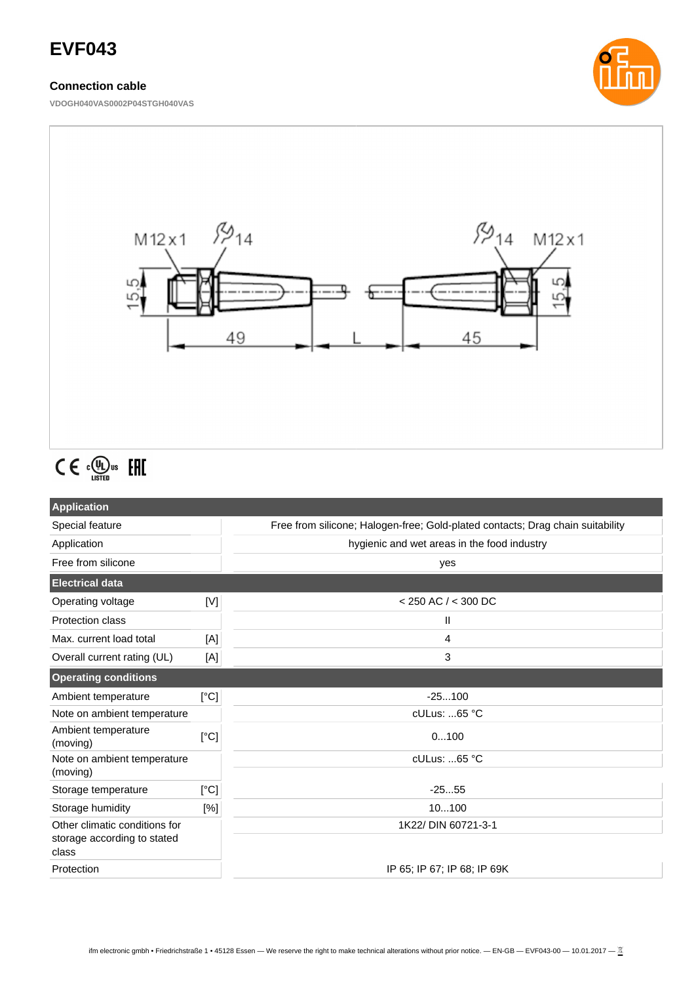# **EVF043**

## **Connection cable**

**VDOGH040VAS0002P04STGH040VAS**





# $C \in \mathbb{C}^{\text{op}}_{\text{LISTED}}$  EHI

| <b>Application</b>                                                    |      |                                                                                |  |
|-----------------------------------------------------------------------|------|--------------------------------------------------------------------------------|--|
| Special feature                                                       |      | Free from silicone; Halogen-free; Gold-plated contacts; Drag chain suitability |  |
| Application                                                           |      | hygienic and wet areas in the food industry                                    |  |
| Free from silicone                                                    |      | yes                                                                            |  |
| <b>Electrical data</b>                                                |      |                                                                                |  |
| Operating voltage                                                     | [V]  | $<$ 250 AC $/$ < 300 DC                                                        |  |
| <b>Protection class</b>                                               |      | Ш                                                                              |  |
| Max. current load total                                               | [A]  | 4                                                                              |  |
| Overall current rating (UL)                                           | [A]  | 3                                                                              |  |
| <b>Operating conditions</b>                                           |      |                                                                                |  |
| Ambient temperature                                                   | [°C] | $-25100$                                                                       |  |
| Note on ambient temperature                                           |      | cULus: 65 °C                                                                   |  |
| Ambient temperature<br>(moving)                                       | [°C] | 0100                                                                           |  |
| Note on ambient temperature<br>(moving)                               |      | cULus: 65 °C                                                                   |  |
| Storage temperature                                                   | [°C] | $-2555$                                                                        |  |
| Storage humidity                                                      | [%]  | 10100                                                                          |  |
| Other climatic conditions for<br>storage according to stated<br>class |      | 1K22/ DIN 60721-3-1                                                            |  |
| Protection                                                            |      | IP 65; IP 67; IP 68; IP 69K                                                    |  |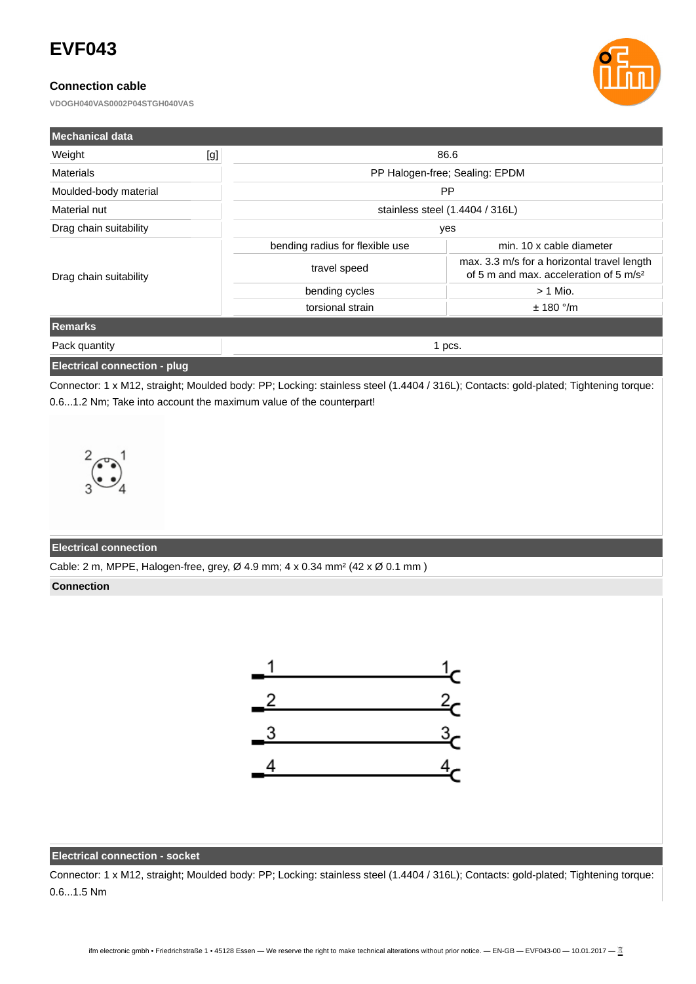# **EVF043**

## **Connection cable**

**VDOGH040VAS0002P04STGH040VAS**



| <b>Mechanical data</b> |     |                                 |                                                                                                   |  |
|------------------------|-----|---------------------------------|---------------------------------------------------------------------------------------------------|--|
| Weight                 | [g] | 86.6                            |                                                                                                   |  |
| <b>Materials</b>       |     | PP Halogen-free; Sealing: EPDM  |                                                                                                   |  |
| Moulded-body material  |     | <b>PP</b>                       |                                                                                                   |  |
| Material nut           |     | stainless steel (1.4404 / 316L) |                                                                                                   |  |
| Drag chain suitability |     | yes                             |                                                                                                   |  |
| Drag chain suitability |     | bending radius for flexible use | min. 10 x cable diameter                                                                          |  |
|                        |     | travel speed                    | max. 3.3 m/s for a horizontal travel length<br>of 5 m and max, acceleration of 5 m/s <sup>2</sup> |  |
|                        |     | bending cycles                  | $> 1$ Mio.                                                                                        |  |
|                        |     | torsional strain                | $± 180$ °/m                                                                                       |  |
| Remarks                |     |                                 |                                                                                                   |  |
| Pack quantity          |     | 1 pcs.                          |                                                                                                   |  |
|                        |     |                                 |                                                                                                   |  |

#### **Electrical connection - plug**

Connector: 1 x M12, straight; Moulded body: PP; Locking: stainless steel (1.4404 / 316L); Contacts: gold-plated; Tightening torque: 0.6...1.2 Nm; Take into account the maximum value of the counterpart!



#### **Electrical connection**

Cable: 2 m, MPPE, Halogen-free, grey, Ø 4.9 mm; 4 x 0.34 mm² (42 x Ø 0.1 mm )

#### **Connection**



## **Electrical connection - socket**

Connector: 1 x M12, straight; Moulded body: PP; Locking: stainless steel (1.4404 / 316L); Contacts: gold-plated; Tightening torque: 0.6...1.5 Nm